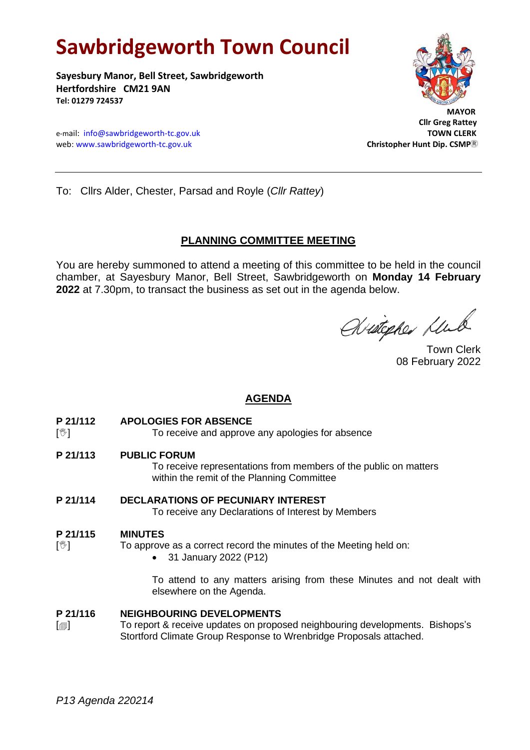# **Sawbridgeworth Town Council**

**Sayesbury Manor, Bell Street, Sawbridgeworth Hertfordshire CM21 9AN Tel: 01279 724537**





 **Cllr Greg Rattey**

To: Cllrs Alder, Chester, Parsad and Royle (*Cllr Rattey*)

# **PLANNING COMMITTEE MEETING**

You are hereby summoned to attend a meeting of this committee to be held in the council chamber, at Sayesbury Manor, Bell Street, Sawbridgeworth on **Monday 14 February 2022** at 7.30pm, to transact the business as set out in the agenda below.

Wietepher Klub

Town Clerk 08 February 2022

# **AGENDA**

**P 21/112 APOLOGIES FOR ABSENCE**

[ $\sqrt[6]{ }$ ] To receive and approve any apologies for absence

**P 21/113 PUBLIC FORUM**

To receive representations from members of the public on matters within the remit of the Planning Committee

**P 21/114 DECLARATIONS OF PECUNIARY INTEREST**

To receive any Declarations of Interest by Members

# **P 21/115 MINUTES**

- $[\mathcal{Y}]$  To approve as a correct record the minutes of the Meeting held on:
	- 31 January 2022 (P12)

To attend to any matters arising from these Minutes and not dealt with elsewhere on the Agenda.

# **P 21/116 NEIGHBOURING DEVELOPMENTS**

[a] To report & receive updates on proposed neighbouring developments. Bishops's Stortford Climate Group Response to Wrenbridge Proposals attached.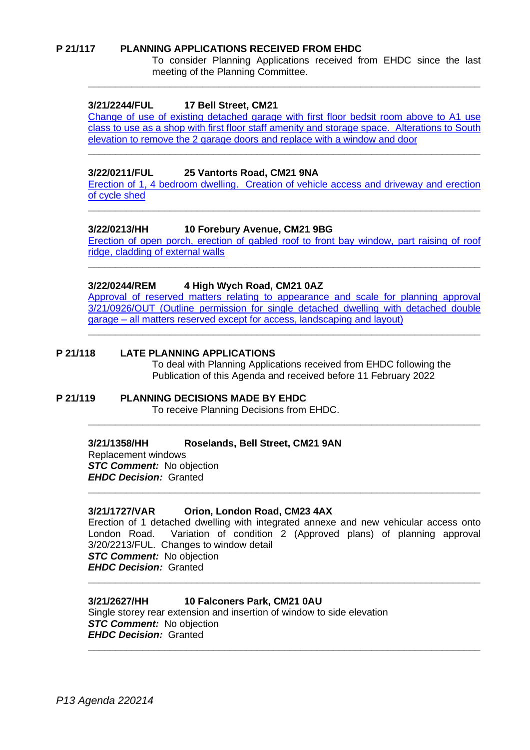#### **P 21/117 PLANNING APPLICATIONS RECEIVED FROM EHDC**

To consider Planning Applications received from EHDC since the last meeting of the Planning Committee.

## **3/21/2244/FUL 17 Bell Street, CM21**

[Change of use of existing detached garage with first](https://publicaccess.eastherts.gov.uk/online-applications/applicationDetails.do?activeTab=documents&keyVal=QYFYF6GL00X00) floor bedsit room above to A1 use [class to use as a shop with first floor staff amenity and storage space. Alterations to South](https://publicaccess.eastherts.gov.uk/online-applications/applicationDetails.do?activeTab=documents&keyVal=QYFYF6GL00X00)  elevation to remove the 2 garage [doors and replace with a window and door](https://publicaccess.eastherts.gov.uk/online-applications/applicationDetails.do?activeTab=documents&keyVal=QYFYF6GL00X00)

**\_\_\_\_\_\_\_\_\_\_\_\_\_\_\_\_\_\_\_\_\_\_\_\_\_\_\_\_\_\_\_\_\_\_\_\_\_\_\_\_\_\_\_\_\_\_\_\_\_\_\_\_\_\_\_\_\_\_\_\_\_\_\_\_\_\_\_\_\_\_\_\_**

**\_\_\_\_\_\_\_\_\_\_\_\_\_\_\_\_\_\_\_\_\_\_\_\_\_\_\_\_\_\_\_\_\_\_\_\_\_\_\_\_\_\_\_\_\_\_\_\_\_\_\_\_\_\_\_\_\_\_\_\_\_\_\_\_\_\_\_\_\_\_\_\_**

#### **3/22/0211/FUL 25 Vantorts Road, CM21 9NA**

[Erection of 1, 4 bedroom dwelling. Creation of vehicle](https://publicaccess.eastherts.gov.uk/online-applications/applicationDetails.do?activeTab=documents&keyVal=R6MNKBGL00T00) access and driveway and erection [of cycle shed](https://publicaccess.eastherts.gov.uk/online-applications/applicationDetails.do?activeTab=documents&keyVal=R6MNKBGL00T00) **\_\_\_\_\_\_\_\_\_\_\_\_\_\_\_\_\_\_\_\_\_\_\_\_\_\_\_\_\_\_\_\_\_\_\_\_\_\_\_\_\_\_\_\_\_\_\_\_\_\_\_\_\_\_\_\_\_\_\_\_\_\_\_\_\_\_\_\_\_\_\_\_**

## **3/22/0213/HH 10 Forebury Avenue, CM21 9BG**

Erection of open porch, erection of gabled [roof to front bay window, part raising of roof](https://publicaccess.eastherts.gov.uk/online-applications/applicationDetails.do?activeTab=documents&keyVal=R6MV79GLJ9B00)  [ridge, cladding of external walls](https://publicaccess.eastherts.gov.uk/online-applications/applicationDetails.do?activeTab=documents&keyVal=R6MV79GLJ9B00) **\_\_\_\_\_\_\_\_\_\_\_\_\_\_\_\_\_\_\_\_\_\_\_\_\_\_\_\_\_\_\_\_\_\_\_\_\_\_\_\_\_\_\_\_\_\_\_\_\_\_\_\_\_\_\_\_\_\_\_\_\_\_\_\_\_\_\_\_\_\_\_\_**

## **3/22/0244/REM 4 High Wych Road, CM21 0AZ**

[Approval of reserved matters relating to appearance and scale for planning approval](https://publicaccess.eastherts.gov.uk/online-applications/applicationDetails.do?activeTab=documents&keyVal=R6Q9D6GLJAU00)  [3/21/0926/OUT \(Outline permission for single detached dwelling with detached double](https://publicaccess.eastherts.gov.uk/online-applications/applicationDetails.do?activeTab=documents&keyVal=R6Q9D6GLJAU00)  garage – [all matters reserved except for access, landscaping and layout\)](https://publicaccess.eastherts.gov.uk/online-applications/applicationDetails.do?activeTab=documents&keyVal=R6Q9D6GLJAU00)

**\_\_\_\_\_\_\_\_\_\_\_\_\_\_\_\_\_\_\_\_\_\_\_\_\_\_\_\_\_\_\_\_\_\_\_\_\_\_\_\_\_\_\_\_\_\_\_\_\_\_\_\_\_\_\_\_\_\_\_\_\_\_\_\_\_\_\_\_\_\_\_\_**

**\_\_\_\_\_\_\_\_\_\_\_\_\_\_\_\_\_\_\_\_\_\_\_\_\_\_\_\_\_\_\_\_\_\_\_\_\_\_\_\_\_\_\_\_\_\_\_\_\_\_\_\_\_\_\_\_\_\_\_\_\_\_\_\_\_\_\_\_\_\_\_\_**

#### **P 21/118 LATE PLANNING APPLICATIONS**

To deal with Planning Applications received from EHDC following the Publication of this Agenda and received before 11 February 2022

#### **P 21/119 PLANNING DECISIONS MADE BY EHDC** To receive Planning Decisions from EHDC.

# **3/21/1358/HH Roselands, Bell Street, CM21 9AN**

Replacement windows *STC Comment:* No objection *EHDC Decision:* Granted

#### **3/21/1727/VAR Orion, London Road, CM23 4AX**

Erection of 1 detached dwelling with integrated annexe and new vehicular access onto London Road. Variation of condition 2 (Approved plans) of planning approval 3/20/2213/FUL. Changes to window detail *STC Comment:* No objection *EHDC Decision:* Granted **\_\_\_\_\_\_\_\_\_\_\_\_\_\_\_\_\_\_\_\_\_\_\_\_\_\_\_\_\_\_\_\_\_\_\_\_\_\_\_\_\_\_\_\_\_\_\_\_\_\_\_\_\_\_\_\_\_\_\_\_\_\_\_\_\_\_\_\_\_\_\_\_**

**\_\_\_\_\_\_\_\_\_\_\_\_\_\_\_\_\_\_\_\_\_\_\_\_\_\_\_\_\_\_\_\_\_\_\_\_\_\_\_\_\_\_\_\_\_\_\_\_\_\_\_\_\_\_\_\_\_\_\_\_\_\_\_\_\_\_\_\_\_\_\_\_**

**\_\_\_\_\_\_\_\_\_\_\_\_\_\_\_\_\_\_\_\_\_\_\_\_\_\_\_\_\_\_\_\_\_\_\_\_\_\_\_\_\_\_\_\_\_\_\_\_\_\_\_\_\_\_\_\_\_\_\_\_\_\_\_\_\_\_\_\_\_\_\_\_**

#### **3/21/2627/HH 10 Falconers Park, CM21 0AU**

Single storey rear extension and insertion of window to side elevation *STC Comment:* No objection *EHDC Decision:* Granted